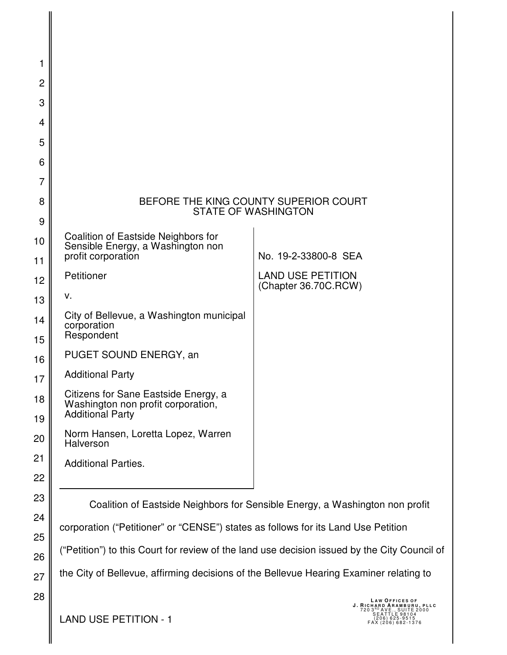| 1              |                                                                                              |                                                                              |
|----------------|----------------------------------------------------------------------------------------------|------------------------------------------------------------------------------|
| $\overline{c}$ |                                                                                              |                                                                              |
| 3              |                                                                                              |                                                                              |
| 4              |                                                                                              |                                                                              |
| 5              |                                                                                              |                                                                              |
| 6              |                                                                                              |                                                                              |
| 7              |                                                                                              |                                                                              |
| 8              | <b>STATE OF WASHINGTON</b>                                                                   | BEFORE THE KING COUNTY SUPERIOR COURT                                        |
| 9              |                                                                                              |                                                                              |
| 10             | Coalition of Eastside Neighbors for<br>Sensible Energy, a Washington non                     |                                                                              |
| 11             | profit corporation                                                                           | No. 19-2-33800-8 SEA                                                         |
| 12             | Petitioner                                                                                   | <b>LAND USE PETITION</b><br>(Chapter 36.70C.RCW)                             |
| 13             | v.                                                                                           |                                                                              |
| 14<br>15       | City of Bellevue, a Washington municipal<br>corporation<br>Respondent                        |                                                                              |
| 16             | PUGET SOUND ENERGY, an                                                                       |                                                                              |
| 17             | <b>Additional Party</b>                                                                      |                                                                              |
| 18             | Citizens for Sane Eastside Energy, a<br>Washington non profit corporation,                   |                                                                              |
| 19             | <b>Additional Party</b>                                                                      |                                                                              |
| 20             | Norm Hansen, Loretta Lopez, Warren<br><b>Halverson</b>                                       |                                                                              |
| 21             | <b>Additional Parties.</b>                                                                   |                                                                              |
| 22             |                                                                                              |                                                                              |
| 23             |                                                                                              | Coalition of Eastside Neighbors for Sensible Energy, a Washington non profit |
| 24             | corporation ("Petitioner" or "CENSE") states as follows for its Land Use Petition            |                                                                              |
| 25             |                                                                                              |                                                                              |
| 26             | ("Petition") to this Court for review of the land use decision issued by the City Council of |                                                                              |
| 27             | the City of Bellevue, affirming decisions of the Bellevue Hearing Examiner relating to       |                                                                              |
| 28             |                                                                                              | <b>LAW OFFICES OF</b>                                                        |

LAND USE PETITION - 1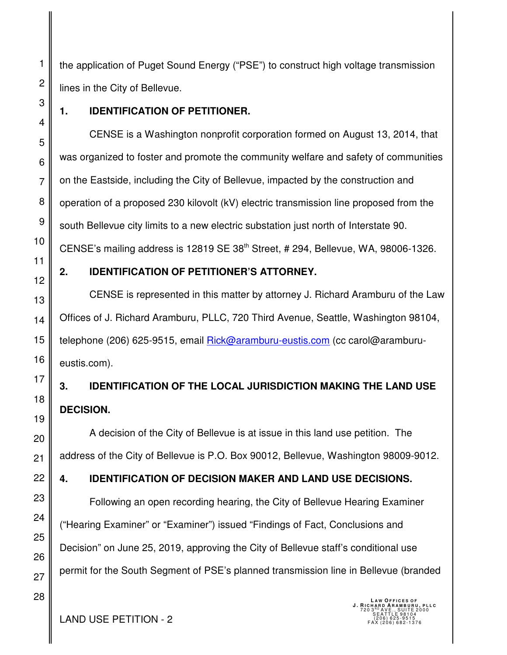the application of Puget Sound Energy ("PSE") to construct high voltage transmission lines in the City of Bellevue.

## **1. IDENTIFICATION OF PETITIONER.**

CENSE is a Washington nonprofit corporation formed on August 13, 2014, that was organized to foster and promote the community welfare and safety of communities on the Eastside, including the City of Bellevue, impacted by the construction and operation of a proposed 230 kilovolt (kV) electric transmission line proposed from the south Bellevue city limits to a new electric substation just north of Interstate 90. CENSE's mailing address is 12819 SE 38th Street, # 294, Bellevue, WA, 98006-1326.

## **2. IDENTIFICATION OF PETITIONER'S ATTORNEY.**

CENSE is represented in this matter by attorney J. Richard Aramburu of the Law Offices of J. Richard Aramburu, PLLC, 720 Third Avenue, Seattle, Washington 98104, telephone (206) 625-9515, email Rick@aramburu-eustis.com (cc carol@aramburueustis.com).

# **3. IDENTIFICATION OF THE LOCAL JURISDICTION MAKING THE LAND USE DECISION.**

A decision of the City of Bellevue is at issue in this land use petition. The address of the City of Bellevue is P.O. Box 90012, Bellevue, Washington 98009-9012.

# **4. IDENTIFICATION OF DECISION MAKER AND LAND USE DECISIONS.**

Following an open recording hearing, the City of Bellevue Hearing Examiner ("Hearing Examiner" or "Examiner") issued "Findings of Fact, Conclusions and Decision" on June 25, 2019, approving the City of Bellevue staff's conditional use permit for the South Segment of PSE's planned transmission line in Bellevue (branded

 $\text{LAND USE PETITION - 2}$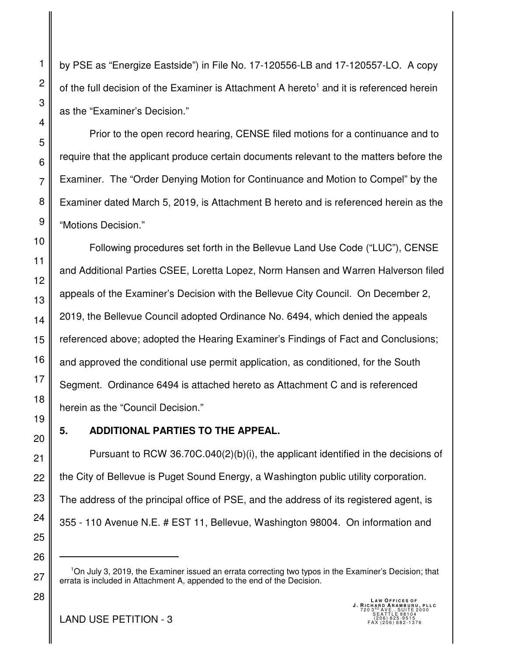by PSE as "Energize Eastside") in File No. 17-120556-LB and 17-120557-LO. A copy of the full decision of the Examiner is Attachment A hereto<sup>1</sup> and it is referenced herein as the "Examiner's Decision."

Prior to the open record hearing, CENSE filed motions for a continuance and to require that the applicant produce certain documents relevant to the matters before the Examiner. The "Order Denying Motion for Continuance and Motion to Compel" by the Examiner dated March 5, 2019, is Attachment B hereto and is referenced herein as the "Motions Decision."

Following procedures set forth in the Bellevue Land Use Code ("LUC"), CENSE and Additional Parties CSEE, Loretta Lopez, Norm Hansen and Warren Halverson filed appeals of the Examiner's Decision with the Bellevue City Council. On December 2, 2019, the Bellevue Council adopted Ordinance No. 6494, which denied the appeals referenced above; adopted the Hearing Examiner's Findings of Fact and Conclusions; and approved the conditional use permit application, as conditioned, for the South Segment. Ordinance 6494 is attached hereto as Attachment C and is referenced herein as the "Council Decision."

## **5. ADDITIONAL PARTIES TO THE APPEAL.**

Pursuant to RCW 36.70C.040(2)(b)(i), the applicant identified in the decisions of the City of Bellevue is Puget Sound Energy, a Washington public utility corporation. The address of the principal office of PSE, and the address of its registered agent, is 355 - 110 Avenue N.E. # EST 11, Bellevue, Washington 98004. On information and

<sup>1</sup>On July 3, 2019, the Examiner issued an errata correcting two typos in the Examiner's Decision; that errata is included in Attachment A, appended to the end of the Decision.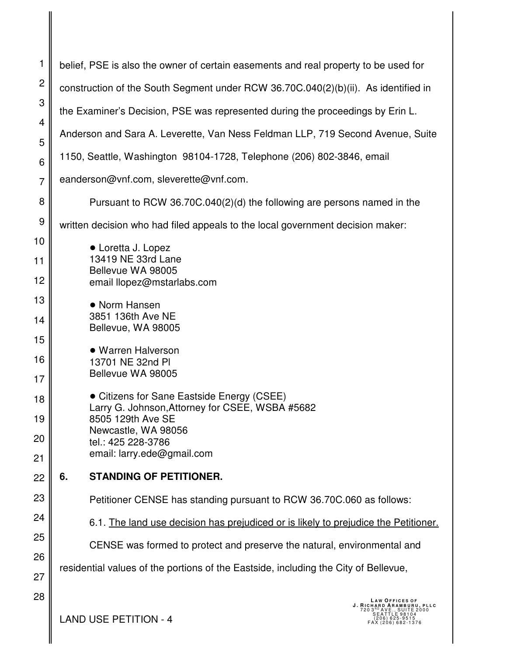| 1              | belief, PSE is also the owner of certain easements and real property to be used for                                                                                             |  |
|----------------|---------------------------------------------------------------------------------------------------------------------------------------------------------------------------------|--|
| $\overline{c}$ | construction of the South Segment under RCW 36.70C.040(2)(b)(ii). As identified in                                                                                              |  |
| 3              | the Examiner's Decision, PSE was represented during the proceedings by Erin L.                                                                                                  |  |
| 4              | Anderson and Sara A. Leverette, Van Ness Feldman LLP, 719 Second Avenue, Suite                                                                                                  |  |
| 5<br>6         | 1150, Seattle, Washington 98104-1728, Telephone (206) 802-3846, email                                                                                                           |  |
| $\overline{7}$ | eanderson@vnf.com, sleverette@vnf.com.                                                                                                                                          |  |
| 8              | Pursuant to RCW 36.70C.040(2)(d) the following are persons named in the                                                                                                         |  |
| 9              | written decision who had filed appeals to the local government decision maker:                                                                                                  |  |
| 10             |                                                                                                                                                                                 |  |
| 11             | • Loretta J. Lopez<br>13419 NE 33rd Lane                                                                                                                                        |  |
| 12             | Bellevue WA 98005<br>email llopez@mstarlabs.com                                                                                                                                 |  |
| 13             | • Norm Hansen                                                                                                                                                                   |  |
| 14             | 3851 136th Ave NE<br>Bellevue, WA 98005                                                                                                                                         |  |
| 15             |                                                                                                                                                                                 |  |
| 16             | • Warren Halverson<br>13701 NE 32nd PI                                                                                                                                          |  |
| 17             | Bellevue WA 98005                                                                                                                                                               |  |
| 18             | • Citizens for Sane Eastside Energy (CSEE)<br>Larry G. Johnson, Attorney for CSEE, WSBA #5682                                                                                   |  |
| 19             | 8505 129th Ave SE                                                                                                                                                               |  |
| 20             | Newcastle, WA 98056<br>tel.: 425 228-3786                                                                                                                                       |  |
| 21             | email: larry.ede@gmail.com                                                                                                                                                      |  |
| 22             | <b>STANDING OF PETITIONER.</b><br>6.                                                                                                                                            |  |
| 23             | Petitioner CENSE has standing pursuant to RCW 36.70C.060 as follows:                                                                                                            |  |
| 24             | 6.1. The land use decision has prejudiced or is likely to prejudice the Petitioner.                                                                                             |  |
| 25             | CENSE was formed to protect and preserve the natural, environmental and                                                                                                         |  |
| 26             |                                                                                                                                                                                 |  |
| 27             | residential values of the portions of the Eastside, including the City of Bellevue,                                                                                             |  |
| 28             | <b>LAW OFFICES OF</b><br>J. RICHARD ARAMBURU, PLLC<br><sup>RD</sup> AVE., SUITE.<br>}EATTLE_98104<br>ITE 2000<br><b>LAND USE PETITION - 4</b><br>206) 625-9515<br>206) 682-1376 |  |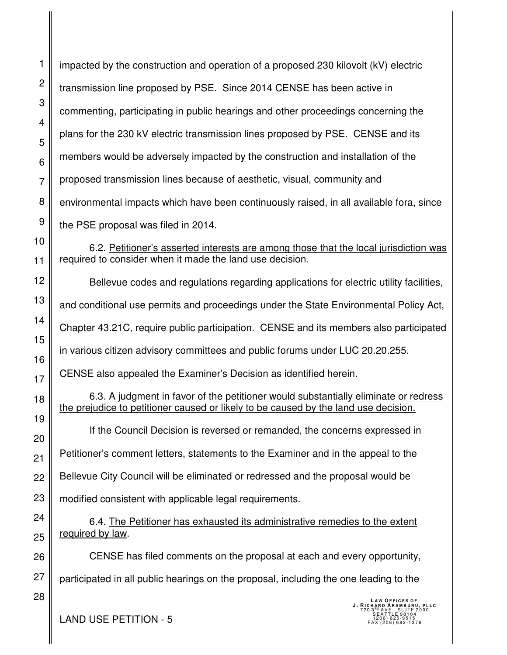1 2 3 4 5 6 7 8 9 10 11 12 13 14 15 19 22 23 26 impacted by the construction and operation of a proposed 230 kilovolt (kV) electric transmission line proposed by PSE. Since 2014 CENSE has been active in commenting, participating in public hearings and other proceedings concerning the plans for the 230 kV electric transmission lines proposed by PSE. CENSE and its members would be adversely impacted by the construction and installation of the proposed transmission lines because of aesthetic, visual, community and environmental impacts which have been continuously raised, in all available fora, since the PSE proposal was filed in 2014. 6.2. Petitioner's asserted interests are among those that the local jurisdiction was required to consider when it made the land use decision. Bellevue codes and regulations regarding applications for electric utility facilities, and conditional use permits and proceedings under the State Environmental Policy Act, Chapter 43.21C, require public participation. CENSE and its members also participated in various citizen advisory committees and public forums under LUC 20.20.255. CENSE also appealed the Examiner's Decision as identified herein. 6.3. A judgment in favor of the petitioner would substantially eliminate or redress the prejudice to petitioner caused or likely to be caused by the land use decision. If the Council Decision is reversed or remanded, the concerns expressed in Petitioner's comment letters, statements to the Examiner and in the appeal to the Bellevue City Council will be eliminated or redressed and the proposal would be modified consistent with applicable legal requirements. 6.4. The Petitioner has exhausted its administrative remedies to the extent required by law. CENSE has filed comments on the proposal at each and every opportunity, participated in all public hearings on the proposal, including the one leading to the **LAW OFFICES OF<br><b>J. RICHARD ARAMBURU, PLLC**<br>720 3<sup>RD</sup> AVE., SUITE 2000<br>SEATTLE 98104  $\text{LAND USE PETITION - 5} \quad \text{[206] 625-9515}_{\text{[206] 682.1376}}$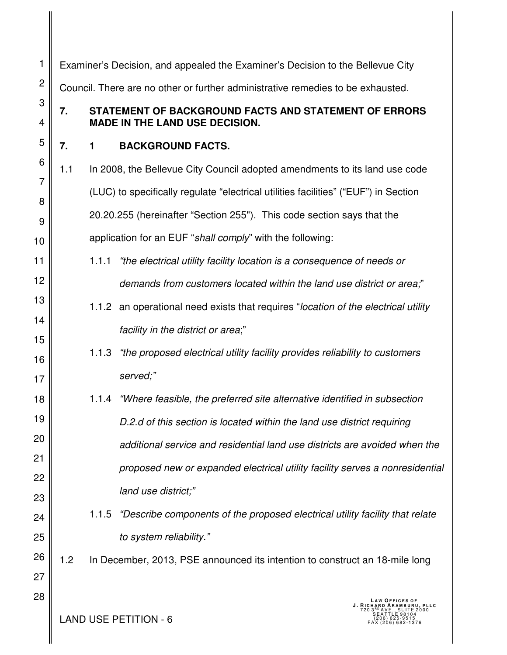| 1              | Examiner's Decision, and appealed the Examiner's Decision to the Bellevue City  |                                                                                                |                                                                                     |  |
|----------------|---------------------------------------------------------------------------------|------------------------------------------------------------------------------------------------|-------------------------------------------------------------------------------------|--|
| $\overline{c}$ | Council. There are no other or further administrative remedies to be exhausted. |                                                                                                |                                                                                     |  |
| 3<br>4         | 7.                                                                              | STATEMENT OF BACKGROUND FACTS AND STATEMENT OF ERRORS<br><b>MADE IN THE LAND USE DECISION.</b> |                                                                                     |  |
| 5              | 7.                                                                              | $\mathbf 1$                                                                                    | <b>BACKGROUND FACTS.</b>                                                            |  |
| 6              | 1.1                                                                             |                                                                                                | In 2008, the Bellevue City Council adopted amendments to its land use code          |  |
| $\overline{7}$ |                                                                                 |                                                                                                | (LUC) to specifically regulate "electrical utilities facilities" ("EUF") in Section |  |
| 8<br>9         |                                                                                 |                                                                                                | 20.20.255 (hereinafter "Section 255"). This code section says that the              |  |
| 10             |                                                                                 |                                                                                                | application for an EUF "shall comply" with the following:                           |  |
| 11             |                                                                                 | 1.1.1                                                                                          | "the electrical utility facility location is a consequence of needs or              |  |
| 12             |                                                                                 |                                                                                                | demands from customers located within the land use district or area,"               |  |
| 13             |                                                                                 |                                                                                                | 1.1.2 an operational need exists that requires "location of the electrical utility  |  |
| 14             |                                                                                 |                                                                                                | facility in the district or area;"                                                  |  |
| 15<br>16       |                                                                                 | 1.1.3                                                                                          | "the proposed electrical utility facility provides reliability to customers         |  |
| 17             |                                                                                 |                                                                                                | served;"                                                                            |  |
| 18             |                                                                                 |                                                                                                | 1.1.4 "Where feasible, the preferred site alternative identified in subsection      |  |
| 19             |                                                                                 |                                                                                                | D.2.d of this section is located within the land use district requiring             |  |
| 20             |                                                                                 |                                                                                                | additional service and residential land use districts are avoided when the          |  |
| 21             |                                                                                 |                                                                                                | proposed new or expanded electrical utility facility serves a nonresidential        |  |
| 22             |                                                                                 |                                                                                                | land use district;"                                                                 |  |
| 23<br>24       |                                                                                 | 1.1.5                                                                                          | "Describe components of the proposed electrical utility facility that relate        |  |
| 25             |                                                                                 |                                                                                                | to system reliability."                                                             |  |
| 26             | 1.2                                                                             |                                                                                                | In December, 2013, PSE announced its intention to construct an 18-mile long         |  |
| 27             |                                                                                 |                                                                                                |                                                                                     |  |
| 28             |                                                                                 |                                                                                                | <b>LAW OFFICES OF</b><br>J. RICHARD ARAMB<br>. PLLC<br><b>LAND USE PETITION - 6</b> |  |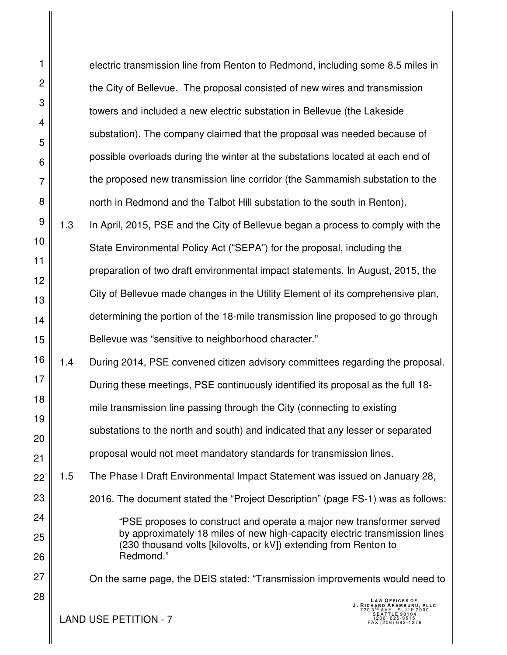1 2 3 4 5 6 7 8 9 10 11 12 13 14 15 16 17 18 19 20 21 22 23 24 25 26 27 28 electric transmission line from Renton to Redmond, including some 8.5 miles in the City of Bellevue. The proposal consisted of new wires and transmission towers and included a new electric substation in Bellevue (the Lakeside substation). The company claimed that the proposal was needed because of possible overloads during the winter at the substations located at each end of the proposed new transmission line corridor (the Sammamish substation to the north in Redmond and the Talbot Hill substation to the south in Renton). 1.3 In April, 2015, PSE and the City of Bellevue began a process to comply with the State Environmental Policy Act ("SEPA") for the proposal, including the preparation of two draft environmental impact statements. In August, 2015, the City of Bellevue made changes in the Utility Element of its comprehensive plan, determining the portion of the 18-mile transmission line proposed to go through Bellevue was "sensitive to neighborhood character." 1.4 During 2014, PSE convened citizen advisory committees regarding the proposal. During these meetings, PSE continuously identified its proposal as the full 18 mile transmission line passing through the City (connecting to existing substations to the north and south) and indicated that any lesser or separated proposal would not meet mandatory standards for transmission lines. 1.5 The Phase I Draft Environmental Impact Statement was issued on January 28, 2016. The document stated the "Project Description" (page FS-1) was as follows: "PSE proposes to construct and operate a major new transformer served by approximately 18 miles of new high-capacity electric transmission lines (230 thousand volts [kilovolts, or kV]) extending from Renton to Redmond." On the same page, the DEIS stated: "Transmission improvements would need to **LAW OFFICES OF<br><b>J. RICHARD ARAMBURU, PLLC**<br>720 3<sup>RD</sup> AVE., SUITE 2000<br>SEATTLE 98104  $\text{LAND USE PETITION - 7} \quad \text{[206] 625-9515}_{\text{FAX (206) 625-9515}}$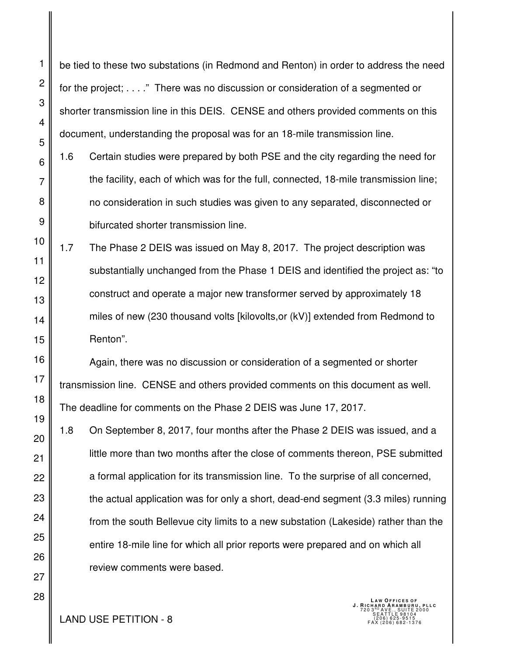be tied to these two substations (in Redmond and Renton) in order to address the need for the project; . . . ." There was no discussion or consideration of a segmented or shorter transmission line in this DEIS. CENSE and others provided comments on this document, understanding the proposal was for an 18-mile transmission line.

- 1.6 Certain studies were prepared by both PSE and the city regarding the need for the facility, each of which was for the full, connected, 18-mile transmission line; no consideration in such studies was given to any separated, disconnected or bifurcated shorter transmission line.
- 1.7 The Phase 2 DEIS was issued on May 8, 2017. The project description was substantially unchanged from the Phase 1 DEIS and identified the project as: "to construct and operate a major new transformer served by approximately 18 miles of new (230 thousand volts [kilovolts,or (kV)] extended from Redmond to Renton".

Again, there was no discussion or consideration of a segmented or shorter transmission line. CENSE and others provided comments on this document as well. The deadline for comments on the Phase 2 DEIS was June 17, 2017.

1.8 On September 8, 2017, four months after the Phase 2 DEIS was issued, and a little more than two months after the close of comments thereon, PSE submitted a formal application for its transmission line. To the surprise of all concerned, the actual application was for only a short, dead-end segment (3.3 miles) running from the south Bellevue city limits to a new substation (Lakeside) rather than the entire 18-mile line for which all prior reports were prepared and on which all review comments were based.

**LAND USE PETITION - 8**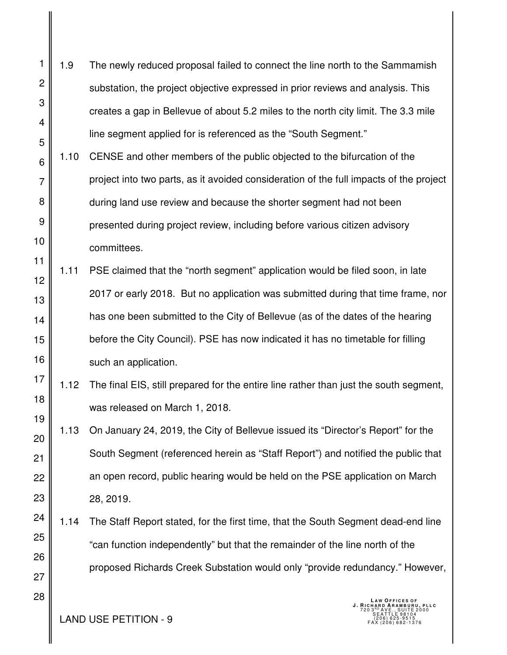- 2 3 4 5 1.9 The newly reduced proposal failed to connect the line north to the Sammamish substation, the project objective expressed in prior reviews and analysis. This creates a gap in Bellevue of about 5.2 miles to the north city limit. The 3.3 mile line segment applied for is referenced as the "South Segment."
- 6 7 8 9 10 1.10 CENSE and other members of the public objected to the bifurcation of the project into two parts, as it avoided consideration of the full impacts of the project during land use review and because the shorter segment had not been presented during project review, including before various citizen advisory committees.
- 11 12 13 14 15 16 1.11 PSE claimed that the "north segment" application would be filed soon, in late 2017 or early 2018. But no application was submitted during that time frame, nor has one been submitted to the City of Bellevue (as of the dates of the hearing before the City Council). PSE has now indicated it has no timetable for filling such an application.
- 18 19 1.12 The final EIS, still prepared for the entire line rather than just the south segment, was released on March 1, 2018.
- 23 1.13 On January 24, 2019, the City of Bellevue issued its "Director's Report" for the South Segment (referenced herein as "Staff Report") and notified the public that an open record, public hearing would be held on the PSE application on March 28, 2019.
- 24 25 1.14 The Staff Report stated, for the first time, that the South Segment dead-end line "can function independently" but that the remainder of the line north of the proposed Richards Creek Substation would only "provide redundancy." However,

**LAND USE PETITION - 9** 

1

17

20

21

22

26

27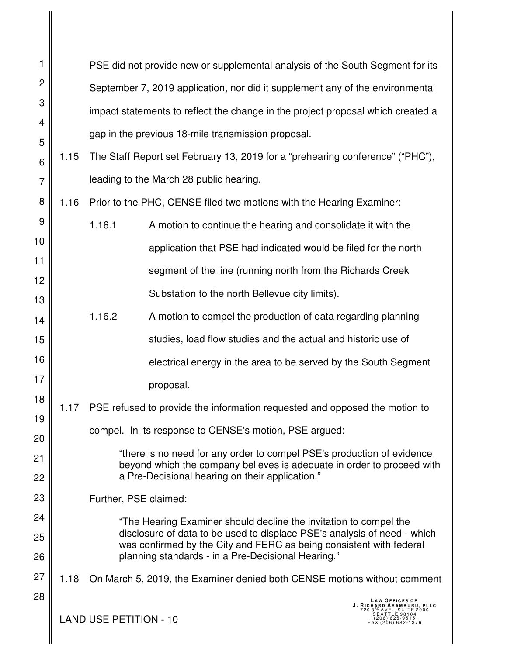| 1              |      |                                                                                 | PSE did not provide new or supplemental analysis of the South Segment for its                                                                      |  |  |
|----------------|------|---------------------------------------------------------------------------------|----------------------------------------------------------------------------------------------------------------------------------------------------|--|--|
| $\overline{c}$ |      | September 7, 2019 application, nor did it supplement any of the environmental   |                                                                                                                                                    |  |  |
| 3              |      | impact statements to reflect the change in the project proposal which created a |                                                                                                                                                    |  |  |
| 4              |      | gap in the previous 18-mile transmission proposal.                              |                                                                                                                                                    |  |  |
| 5              | 1.15 |                                                                                 | The Staff Report set February 13, 2019 for a "prehearing conference" ("PHC"),                                                                      |  |  |
| 6<br>7         |      |                                                                                 | leading to the March 28 public hearing.                                                                                                            |  |  |
| 8              | 1.16 |                                                                                 | Prior to the PHC, CENSE filed two motions with the Hearing Examiner:                                                                               |  |  |
| 9              |      | 1.16.1                                                                          | A motion to continue the hearing and consolidate it with the                                                                                       |  |  |
| 10             |      |                                                                                 |                                                                                                                                                    |  |  |
| 11             |      |                                                                                 | application that PSE had indicated would be filed for the north                                                                                    |  |  |
| 12             |      |                                                                                 | segment of the line (running north from the Richards Creek                                                                                         |  |  |
| 13             |      |                                                                                 | Substation to the north Bellevue city limits).                                                                                                     |  |  |
| 14             |      | 1.16.2                                                                          | A motion to compel the production of data regarding planning                                                                                       |  |  |
| 15             |      |                                                                                 | studies, load flow studies and the actual and historic use of                                                                                      |  |  |
| 16             |      |                                                                                 | electrical energy in the area to be served by the South Segment                                                                                    |  |  |
| 17             |      |                                                                                 | proposal.                                                                                                                                          |  |  |
| 18             | 1.17 |                                                                                 | PSE refused to provide the information requested and opposed the motion to                                                                         |  |  |
| 19<br>20       |      |                                                                                 | compel. In its response to CENSE's motion, PSE argued:                                                                                             |  |  |
| 21             |      |                                                                                 | "there is no need for any order to compel PSE's production of evidence                                                                             |  |  |
| 22             |      |                                                                                 | beyond which the company believes is adequate in order to proceed with<br>a Pre-Decisional hearing on their application."                          |  |  |
| 23             |      | Further, PSE claimed:                                                           |                                                                                                                                                    |  |  |
| 24             |      |                                                                                 | "The Hearing Examiner should decline the invitation to compel the                                                                                  |  |  |
| 25             |      |                                                                                 | disclosure of data to be used to displace PSE's analysis of need - which                                                                           |  |  |
| 26             |      |                                                                                 | was confirmed by the City and FERC as being consistent with federal<br>planning standards - in a Pre-Decisional Hearing."                          |  |  |
| 27             | 1.18 |                                                                                 | On March 5, 2019, the Examiner denied both CENSE motions without comment                                                                           |  |  |
| 28             |      | <b>LAND USE PETITION - 10</b>                                                   | <b>LAW OFFICES OF</b><br>J. RICHARD ARAMBURU, PLLC<br>720 3 RD A V E., S U I T E 2000<br>SEATTLE 98104<br>$(206) 625 - 9515$<br>$(206) 682 - 1376$ |  |  |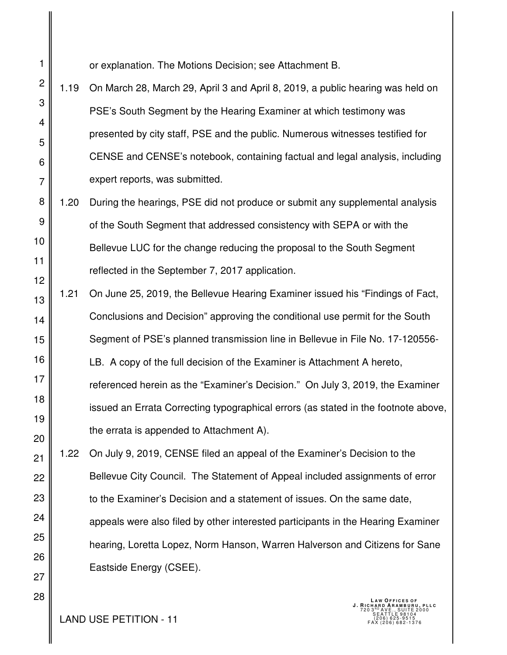or explanation. The Motions Decision; see Attachment B.

1

- 2 3 4 5 6 7 1.19 On March 28, March 29, April 3 and April 8, 2019, a public hearing was held on PSE's South Segment by the Hearing Examiner at which testimony was presented by city staff, PSE and the public. Numerous witnesses testified for CENSE and CENSE's notebook, containing factual and legal analysis, including expert reports, was submitted.
- 8 9 10 11 12 1.20 During the hearings, PSE did not produce or submit any supplemental analysis of the South Segment that addressed consistency with SEPA or with the Bellevue LUC for the change reducing the proposal to the South Segment reflected in the September 7, 2017 application.
- 13 14 15 16 17 18 19 20 1.21 On June 25, 2019, the Bellevue Hearing Examiner issued his "Findings of Fact, Conclusions and Decision" approving the conditional use permit for the South Segment of PSE's planned transmission line in Bellevue in File No. 17-120556- LB. A copy of the full decision of the Examiner is Attachment A hereto, referenced herein as the "Examiner's Decision." On July 3, 2019, the Examiner issued an Errata Correcting typographical errors (as stated in the footnote above, the errata is appended to Attachment A).
- 21 22 23 24 25 26 1.22 On July 9, 2019, CENSE filed an appeal of the Examiner's Decision to the Bellevue City Council. The Statement of Appeal included assignments of error to the Examiner's Decision and a statement of issues. On the same date, appeals were also filed by other interested participants in the Hearing Examiner hearing, Loretta Lopez, Norm Hanson, Warren Halverson and Citizens for Sane Eastside Energy (CSEE).

**LAND USE PETITION - 11** 

27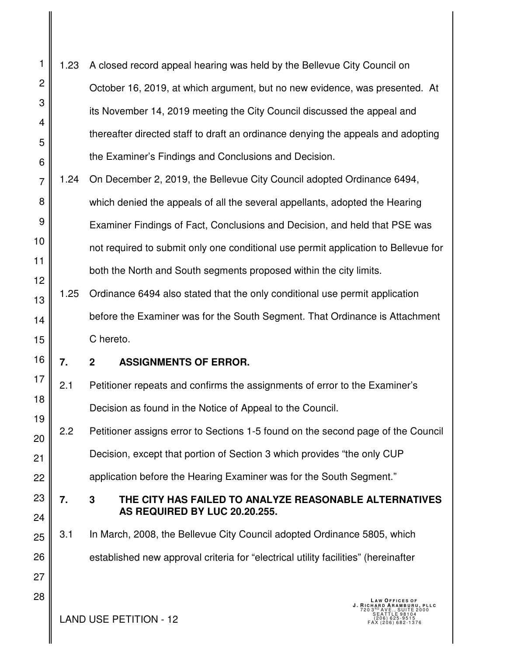- 1 2 3 4 5 6 1.23 A closed record appeal hearing was held by the Bellevue City Council on October 16, 2019, at which argument, but no new evidence, was presented. At its November 14, 2019 meeting the City Council discussed the appeal and thereafter directed staff to draft an ordinance denying the appeals and adopting the Examiner's Findings and Conclusions and Decision.
- 7 8 9 10 11 12 1.24 On December 2, 2019, the Bellevue City Council adopted Ordinance 6494, which denied the appeals of all the several appellants, adopted the Hearing Examiner Findings of Fact, Conclusions and Decision, and held that PSE was not required to submit only one conditional use permit application to Bellevue for both the North and South segments proposed within the city limits.
- 13 14 15 1.25 Ordinance 6494 also stated that the only conditional use permit application before the Examiner was for the South Segment. That Ordinance is Attachment C hereto.
- 16

23

24

27

28

## **7. 2 ASSIGNMENTS OF ERROR.**

- 17 18 19 2.1 Petitioner repeats and confirms the assignments of error to the Examiner's Decision as found in the Notice of Appeal to the Council.
- 20 21 22 2.2 Petitioner assigns error to Sections 1-5 found on the second page of the Council Decision, except that portion of Section 3 which provides "the only CUP application before the Hearing Examiner was for the South Segment."
	- **7. 3 THE CITY HAS FAILED TO ANALYZE REASONABLE ALTERNATIVES AS REQUIRED BY LUC 20.20.255.**
- 25 26 3.1 In March, 2008, the Bellevue City Council adopted Ordinance 5805, which established new approval criteria for "electrical utility facilities" (hereinafter

 $\text{LAND USE PETITION - 12} \quad \text{[1]} \quad \text{[2]} \quad \text{[2]} \quad \text{[2]} \quad \text{[3]} \quad \text{[4]} \quad \text{[4]} \quad \text{[5]} \quad \text{[5]} \quad \text{[5]} \quad \text{[5]} \quad \text{[5]} \quad \text{[5]} \quad \text{[5]} \quad \text{[5]} \quad \text{[5]} \quad \text{[5]} \quad \text{[5]} \quad \text{[5]} \quad \text{[5]} \quad \text{[5]} \quad \text{[5]} \quad \text{[5]} \quad \text{[5]} \quad \text{[5]} \quad \text{[5]}$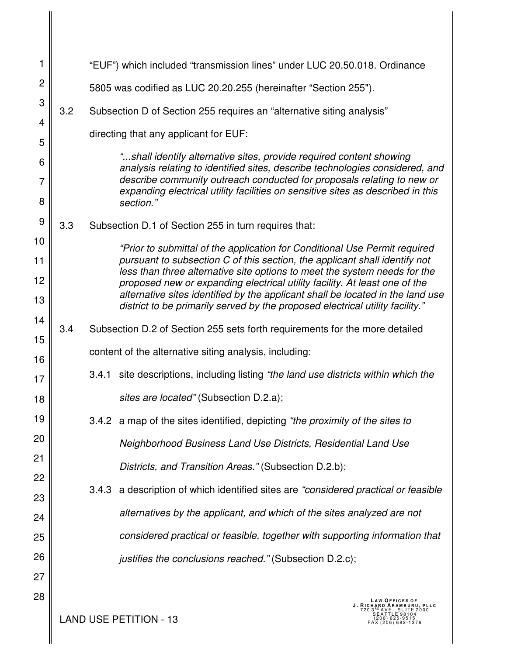| 1              |     |       | "EUF") which included "transmission lines" under LUC 20.50.018. Ordinance                                                                                    |
|----------------|-----|-------|--------------------------------------------------------------------------------------------------------------------------------------------------------------|
| $\overline{c}$ |     |       | 5805 was codified as LUC 20.20.255 (hereinafter "Section 255").                                                                                              |
| 3              | 3.2 |       | Subsection D of Section 255 requires an "alternative siting analysis"                                                                                        |
| 4              |     |       | directing that any applicant for EUF:                                                                                                                        |
| 5              |     |       | "shall identify alternative sites, provide required content showing                                                                                          |
| 6<br>7         |     |       | analysis relating to identified sites, describe technologies considered, and<br>describe community outreach conducted for proposals relating to new or       |
| 8              |     |       | expanding electrical utility facilities on sensitive sites as described in this<br>section."                                                                 |
| 9              | 3.3 |       | Subsection D.1 of Section 255 in turn requires that:                                                                                                         |
| 10             |     |       | "Prior to submittal of the application for Conditional Use Permit required                                                                                   |
| 11             |     |       | pursuant to subsection C of this section, the applicant shall identify not<br>less than three alternative site options to meet the system needs for the      |
| 12             |     |       | proposed new or expanding electrical utility facility. At least one of the<br>alternative sites identified by the applicant shall be located in the land use |
| 13             |     |       | district to be primarily served by the proposed electrical utility facility."                                                                                |
| 14<br>15       | 3.4 |       | Subsection D.2 of Section 255 sets forth requirements for the more detailed                                                                                  |
| 16             |     |       | content of the alternative siting analysis, including:                                                                                                       |
| 17             |     | 3.4.1 | site descriptions, including listing "the land use districts within which the                                                                                |
| 18             |     |       | sites are located" (Subsection D.2.a);                                                                                                                       |
| 19             |     |       | 3.4.2 a map of the sites identified, depicting "the proximity of the sites to                                                                                |
| 20             |     |       | Neighborhood Business Land Use Districts, Residential Land Use                                                                                               |
| 21             |     |       | Districts, and Transition Areas." (Subsection D.2.b);                                                                                                        |
| 22             |     | 3.4.3 | a description of which identified sites are "considered practical or feasible                                                                                |
| 23             |     |       | alternatives by the applicant, and which of the sites analyzed are not                                                                                       |
| 24             |     |       |                                                                                                                                                              |
| 25             |     |       | considered practical or feasible, together with supporting information that                                                                                  |
| 26             |     |       | justifies the conclusions reached." (Subsection D.2.c);                                                                                                      |
| 27             |     |       |                                                                                                                                                              |
| 28             |     |       | LAW OFFICES OF<br>J. RICHARD ARAMBURU, PLLC                                                                                                                  |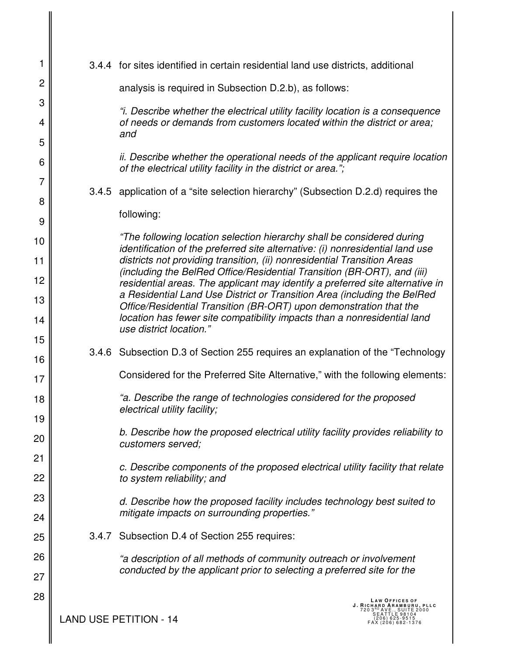| 1              |       | 3.4.4 for sites identified in certain residential land use districts, additional                                                                                 |
|----------------|-------|------------------------------------------------------------------------------------------------------------------------------------------------------------------|
| $\overline{c}$ |       | analysis is required in Subsection D.2.b), as follows:                                                                                                           |
| 3              |       |                                                                                                                                                                  |
| 4              |       | "i. Describe whether the electrical utility facility location is a consequence<br>of needs or demands from customers located within the district or area;<br>and |
| 5              |       |                                                                                                                                                                  |
| 6              |       | ii. Describe whether the operational needs of the applicant require location<br>of the electrical utility facility in the district or area.";                    |
| 7              |       | 3.4.5 application of a "site selection hierarchy" (Subsection D.2.d) requires the                                                                                |
| 8              |       |                                                                                                                                                                  |
| 9              |       | following:                                                                                                                                                       |
| 10             |       | "The following location selection hierarchy shall be considered during<br>identification of the preferred site alternative: (i) nonresidential land use          |
| 11             |       | districts not providing transition, (ii) nonresidential Transition Areas                                                                                         |
| 12             |       | (including the BelRed Office/Residential Transition (BR-ORT), and (iii)<br>residential areas. The applicant may identify a preferred site alternative in         |
| 13             |       | a Residential Land Use District or Transition Area (including the BelRed<br>Office/Residential Transition (BR-ORT) upon demonstration that the                   |
| 14             |       | location has fewer site compatibility impacts than a nonresidential land<br>use district location."                                                              |
| 15             |       |                                                                                                                                                                  |
| 16             |       | 3.4.6 Subsection D.3 of Section 255 requires an explanation of the "Technology"                                                                                  |
| 17             |       | Considered for the Preferred Site Alternative," with the following elements:                                                                                     |
| 18             |       | "a. Describe the range of technologies considered for the proposed<br>electrical utility facility;                                                               |
| 19             |       | b. Describe how the proposed electrical utility facility provides reliability to                                                                                 |
| 20             |       | customers served;                                                                                                                                                |
| 21             |       | c. Describe components of the proposed electrical utility facility that relate                                                                                   |
| 22             |       | to system reliability; and                                                                                                                                       |
| 23             |       | d. Describe how the proposed facility includes technology best suited to                                                                                         |
| 24             |       | mitigate impacts on surrounding properties."                                                                                                                     |
| 25             | 3.4.7 | Subsection D.4 of Section 255 requires:                                                                                                                          |
| 26             |       | "a description of all methods of community outreach or involvement                                                                                               |
| 27             |       | conducted by the applicant prior to selecting a preferred site for the                                                                                           |
| 28             |       | <b>LAW OFFICES OF</b><br>J. RICHARD ARAMBURU, PLLC<br>UITE 2000<br><b>AND USE PETITION - 14</b><br>206) 625-9515                                                 |
|                |       | (206) 682-1376                                                                                                                                                   |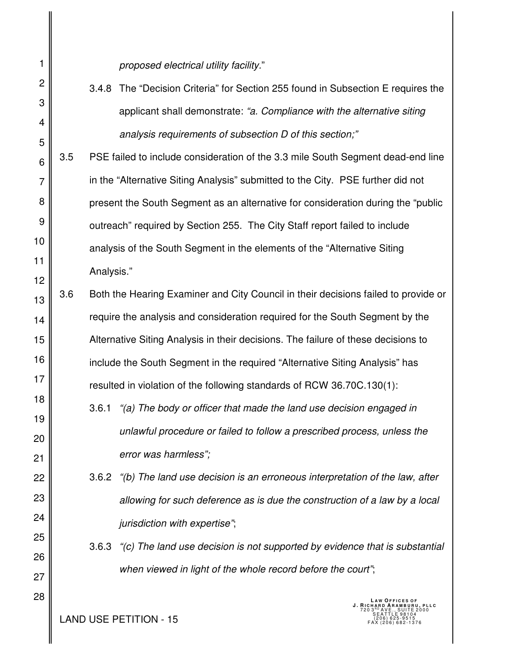*proposed electrical utility facility.*"

- 3.4.8 The "Decision Criteria" for Section 255 found in Subsection E requires the applicant shall demonstrate: *"a. Compliance with the alternative siting analysis requirements of subsection D of this section;"*
- 6 7 8 9 10 11 12 3.5 PSE failed to include consideration of the 3.3 mile South Segment dead-end line in the "Alternative Siting Analysis" submitted to the City. PSE further did not present the South Segment as an alternative for consideration during the "public outreach" required by Section 255. The City Staff report failed to include analysis of the South Segment in the elements of the "Alternative Siting Analysis."
- 13 14 15 16 17 3.6 Both the Hearing Examiner and City Council in their decisions failed to provide or require the analysis and consideration required for the South Segment by the Alternative Siting Analysis in their decisions. The failure of these decisions to include the South Segment in the required "Alternative Siting Analysis" has resulted in violation of the following standards of RCW 36.70C.130(1):
	- 3.6.1 *"(a) The body or officer that made the land use decision engaged in unlawful procedure or failed to follow a prescribed process, unless the error was harmless";*
		- 3.6.2 *"(b) The land use decision is an erroneous interpretation of the law, after allowing for such deference as is due the construction of a law by a local jurisdiction with expertise"*;
			- 3.6.3 *"(c) The land use decision is not supported by evidence that is substantial when viewed in light of the whole record before the court"*;

27 28

18

19

20

21

22

23

24

25

26

1

2

3

4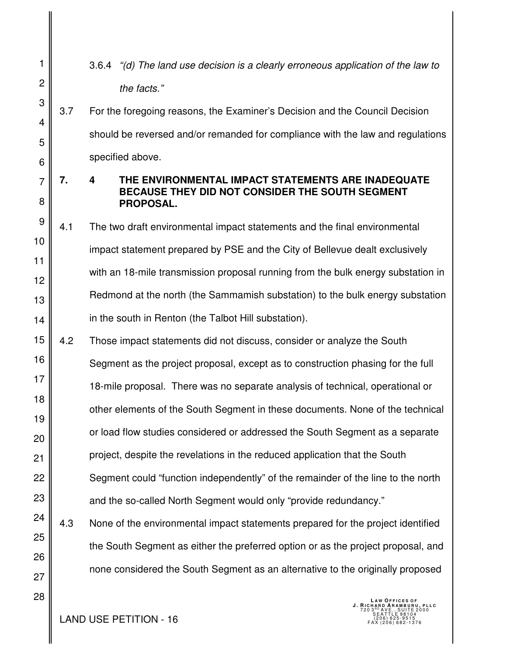- 1 2 3 4 5 6 7 8 9 10 11 12 13 14 15 16 17 18 19 20 21 22 23 24 3.6.4 *"(d) The land use decision is a clearly erroneous application of the law to the facts."* 3.7 For the foregoing reasons, the Examiner's Decision and the Council Decision should be reversed and/or remanded for compliance with the law and regulations specified above. **7. 4 THE ENVIRONMENTAL IMPACT STATEMENTS ARE INADEQUATE BECAUSE THEY DID NOT CONSIDER THE SOUTH SEGMENT PROPOSAL.**  4.1 The two draft environmental impact statements and the final environmental impact statement prepared by PSE and the City of Bellevue dealt exclusively with an 18-mile transmission proposal running from the bulk energy substation in Redmond at the north (the Sammamish substation) to the bulk energy substation in the south in Renton (the Talbot Hill substation). 4.2 Those impact statements did not discuss, consider or analyze the South Segment as the project proposal, except as to construction phasing for the full 18-mile proposal. There was no separate analysis of technical, operational or other elements of the South Segment in these documents. None of the technical or load flow studies considered or addressed the South Segment as a separate project, despite the revelations in the reduced application that the South Segment could "function independently" of the remainder of the line to the north and the so-called North Segment would only "provide redundancy." 4.3 None of the environmental impact statements prepared for the project identified
	- the South Segment as either the preferred option or as the project proposal, and none considered the South Segment as an alternative to the originally proposed
		- **LAW OFFICES OF<br><b>J. RICHARD ARAMBURU, PLLC**<br>720 3<sup>RD</sup> AVE., SUITE 2000<br>SEATTLE 98104

 $\text{LAND USE PETITION - 16} \quad \text{[206] 625-9515}_{\text{[206] 625-9515}}$ 

25

26

27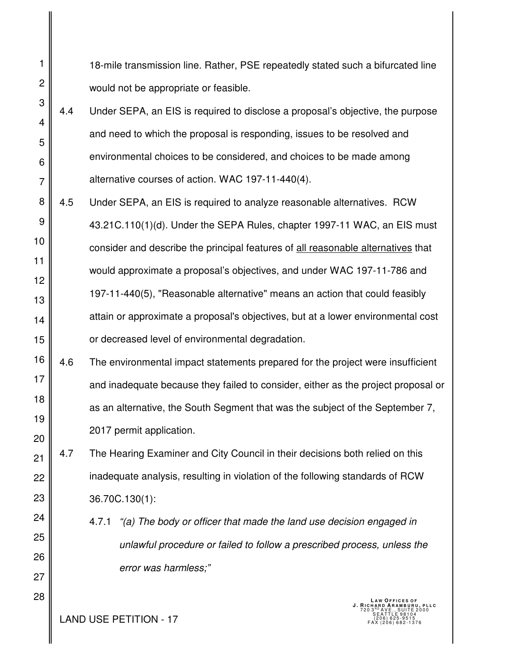18-mile transmission line. Rather, PSE repeatedly stated such a bifurcated line would not be appropriate or feasible.

- 3 4 5 7 4.4 Under SEPA, an EIS is required to disclose a proposal's objective, the purpose and need to which the proposal is responding, issues to be resolved and environmental choices to be considered, and choices to be made among alternative courses of action. WAC 197-11-440(4).
- 8 9 10 11 12 13 14 15 4.5 Under SEPA, an EIS is required to analyze reasonable alternatives. RCW 43.21C.110(1)(d). Under the SEPA Rules, chapter 1997-11 WAC, an EIS must consider and describe the principal features of all reasonable alternatives that would approximate a proposal's objectives, and under WAC 197-11-786 and 197-11-440(5), "Reasonable alternative" means an action that could feasibly attain or approximate a proposal's objectives, but at a lower environmental cost or decreased level of environmental degradation.
- 16 17 18 19 20 4.6 The environmental impact statements prepared for the project were insufficient and inadequate because they failed to consider, either as the project proposal or as an alternative, the South Segment that was the subject of the September 7, 2017 permit application.

22 23 4.7 The Hearing Examiner and City Council in their decisions both relied on this inadequate analysis, resulting in violation of the following standards of RCW 36.70C.130(1):

> 4.7.1 *"(a) The body or officer that made the land use decision engaged in unlawful procedure or failed to follow a prescribed process, unless the error was harmless;"*

**LAND USE PETITION - 17** 

1

2

6

21

24

25

26

27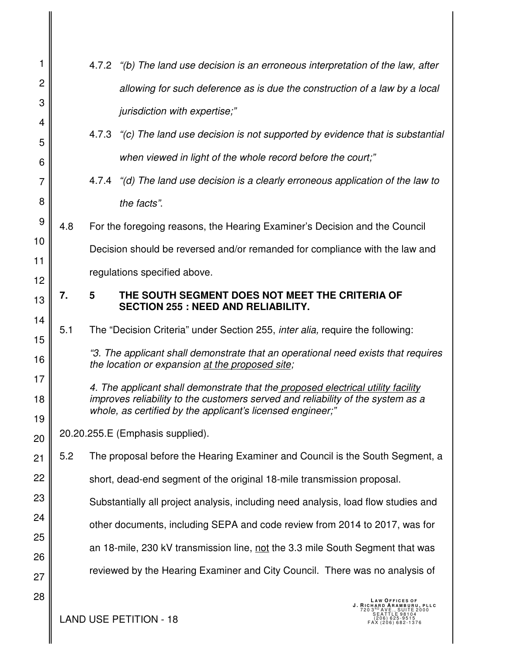| 1              |     |   | 4.7.2 "(b) The land use decision is an erroneous interpretation of the law, after                                                                                                                                                 |
|----------------|-----|---|-----------------------------------------------------------------------------------------------------------------------------------------------------------------------------------------------------------------------------------|
| $\overline{c}$ |     |   | allowing for such deference as is due the construction of a law by a local                                                                                                                                                        |
| 3              |     |   | jurisdiction with expertise;"                                                                                                                                                                                                     |
| 4              |     |   | 4.7.3 "(c) The land use decision is not supported by evidence that is substantial                                                                                                                                                 |
| 5              |     |   | when viewed in light of the whole record before the court;"                                                                                                                                                                       |
| 6              |     |   |                                                                                                                                                                                                                                   |
| $\overline{7}$ |     |   | 4.7.4 "(d) The land use decision is a clearly erroneous application of the law to                                                                                                                                                 |
| 8              |     |   | the facts".                                                                                                                                                                                                                       |
| 9              | 4.8 |   | For the foregoing reasons, the Hearing Examiner's Decision and the Council                                                                                                                                                        |
| 10             |     |   | Decision should be reversed and/or remanded for compliance with the law and                                                                                                                                                       |
| 11<br>12       |     |   | regulations specified above.                                                                                                                                                                                                      |
| 13             | 7.  | 5 | THE SOUTH SEGMENT DOES NOT MEET THE CRITERIA OF                                                                                                                                                                                   |
|                |     |   | <b>SECTION 255 : NEED AND RELIABILITY.</b>                                                                                                                                                                                        |
| 14<br>15       | 5.1 |   | The "Decision Criteria" under Section 255, <i>inter alia</i> , require the following:                                                                                                                                             |
| 16             |     |   | "3. The applicant shall demonstrate that an operational need exists that requires<br>the location or expansion at the proposed site;                                                                                              |
| 17<br>18<br>19 |     |   | 4. The applicant shall demonstrate that the proposed electrical utility facility<br>improves reliability to the customers served and reliability of the system as a<br>whole, as certified by the applicant's licensed engineer;" |
| 20             |     |   | 20.20.255.E (Emphasis supplied).                                                                                                                                                                                                  |
| 21             | 5.2 |   | The proposal before the Hearing Examiner and Council is the South Segment, a                                                                                                                                                      |
| 22             |     |   | short, dead-end segment of the original 18-mile transmission proposal.                                                                                                                                                            |
| 23             |     |   | Substantially all project analysis, including need analysis, load flow studies and                                                                                                                                                |
| 24             |     |   | other documents, including SEPA and code review from 2014 to 2017, was for                                                                                                                                                        |
| 25             |     |   | an 18-mile, 230 kV transmission line, not the 3.3 mile South Segment that was                                                                                                                                                     |
| 26             |     |   | reviewed by the Hearing Examiner and City Council. There was no analysis of                                                                                                                                                       |
| 27             |     |   |                                                                                                                                                                                                                                   |
| 28             |     |   | <b>LAW OFFICES OF</b><br>RU, PLLC                                                                                                                                                                                                 |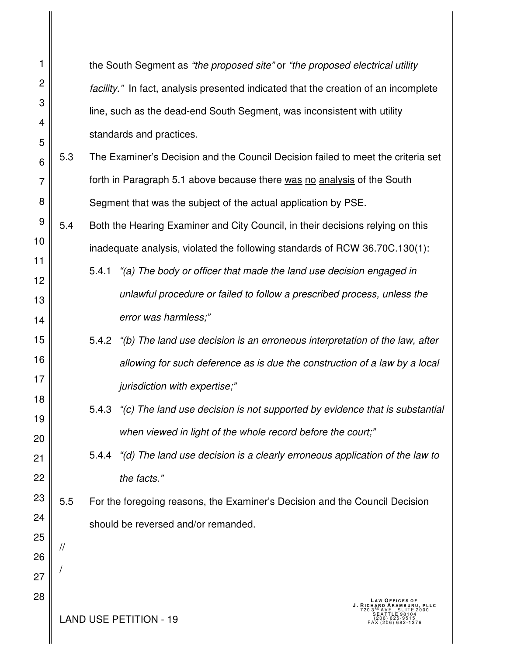| 1              |               |                                                                                     | the South Segment as "the proposed site" or "the proposed electrical utility                      |  |  |
|----------------|---------------|-------------------------------------------------------------------------------------|---------------------------------------------------------------------------------------------------|--|--|
| $\overline{c}$ |               | facility." In fact, analysis presented indicated that the creation of an incomplete |                                                                                                   |  |  |
| 3              |               | line, such as the dead-end South Segment, was inconsistent with utility             |                                                                                                   |  |  |
| 4              |               | standards and practices.                                                            |                                                                                                   |  |  |
| 5<br>6         | 5.3           |                                                                                     | The Examiner's Decision and the Council Decision failed to meet the criteria set                  |  |  |
| $\overline{7}$ |               |                                                                                     | forth in Paragraph 5.1 above because there was no analysis of the South                           |  |  |
| 8              |               |                                                                                     | Segment that was the subject of the actual application by PSE.                                    |  |  |
| 9              | 5.4           |                                                                                     | Both the Hearing Examiner and City Council, in their decisions relying on this                    |  |  |
| 10             |               |                                                                                     | inadequate analysis, violated the following standards of RCW 36.70C.130(1):                       |  |  |
| 11             |               | 5.4.1                                                                               | "(a) The body or officer that made the land use decision engaged in                               |  |  |
| 12             |               |                                                                                     |                                                                                                   |  |  |
| 13             |               |                                                                                     | unlawful procedure or failed to follow a prescribed process, unless the                           |  |  |
| 14             |               | error was harmless;"                                                                |                                                                                                   |  |  |
| 15             |               | 5.4.2                                                                               | "(b) The land use decision is an erroneous interpretation of the law, after                       |  |  |
| 16             |               |                                                                                     | allowing for such deference as is due the construction of a law by a local                        |  |  |
| 17             |               | jurisdiction with expertise;"                                                       |                                                                                                   |  |  |
| 18<br>19       |               | 5.4.3                                                                               | "(c) The land use decision is not supported by evidence that is substantial                       |  |  |
| 20             |               |                                                                                     | when viewed in light of the whole record before the court;"                                       |  |  |
| 21             |               | 5.4.4                                                                               | "(d) The land use decision is a clearly erroneous application of the law to                       |  |  |
| 22             |               | the facts."                                                                         |                                                                                                   |  |  |
| 23             | 5.5           |                                                                                     | For the foregoing reasons, the Examiner's Decision and the Council Decision                       |  |  |
| 24             |               | should be reversed and/or remanded.                                                 |                                                                                                   |  |  |
| 25             | $\frac{1}{2}$ |                                                                                     |                                                                                                   |  |  |
| 26             |               |                                                                                     |                                                                                                   |  |  |
| 27             |               |                                                                                     |                                                                                                   |  |  |
| 28             |               | <b>LAND USE PETITION - 19</b>                                                       | LAW OFFICES OF<br>J. RICHARD ARAMBURU, PLLC<br>SUITE 2000<br>(206) 625-9515<br>FAX (206) 682-1376 |  |  |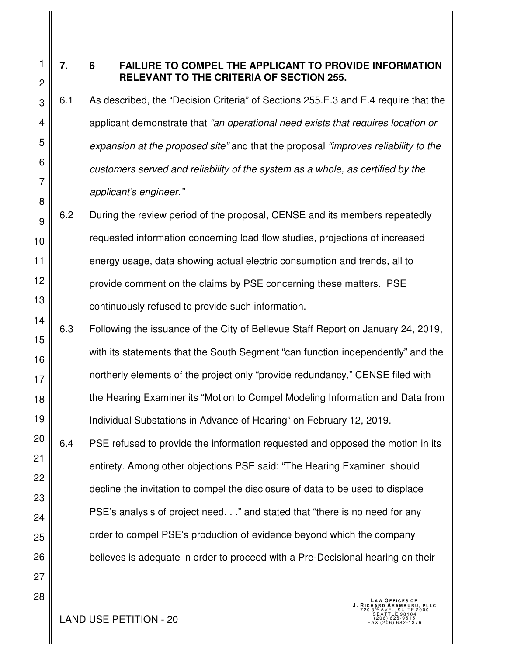4

5

6

7

8

27

28

1

#### **7. 6 FAILURE TO COMPEL THE APPLICANT TO PROVIDE INFORMATION RELEVANT TO THE CRITERIA OF SECTION 255.**

- 6.1 As described, the "Decision Criteria" of Sections 255.E.3 and E.4 require that the applicant demonstrate that *"an operational need exists that requires location or expansion at the proposed site"* and that the proposal *"improves reliability to the customers served and reliability of the system as a whole, as certified by the applicant's engineer."*
- 9 10 11 12 13 6.2 During the review period of the proposal, CENSE and its members repeatedly requested information concerning load flow studies, projections of increased energy usage, data showing actual electric consumption and trends, all to provide comment on the claims by PSE concerning these matters. PSE continuously refused to provide such information.
- 14 15 16 17 18 19 6.3 Following the issuance of the City of Bellevue Staff Report on January 24, 2019, with its statements that the South Segment "can function independently" and the northerly elements of the project only "provide redundancy," CENSE filed with the Hearing Examiner its "Motion to Compel Modeling Information and Data from Individual Substations in Advance of Hearing" on February 12, 2019.
- 20 21 22 23 24 25 26 6.4 PSE refused to provide the information requested and opposed the motion in its entirety. Among other objections PSE said: "The Hearing Examiner should decline the invitation to compel the disclosure of data to be used to displace PSE's analysis of project need. . ." and stated that "there is no need for any order to compel PSE's production of evidence beyond which the company believes is adequate in order to proceed with a Pre-Decisional hearing on their

 $\text{LAND USE PETITION - 20} \quad \text{[1]} \quad \text{[2]} \quad \text{[2]} \quad \text{[2]} \quad \text{[3]} \quad \text{[4]} \quad \text{[4]} \quad \text{[5]} \quad \text{[5]} \quad \text{[5]} \quad \text{[5]} \quad \text{[5]} \quad \text{[5]} \quad \text{[5]} \quad \text{[5]} \quad \text{[5]} \quad \text{[5]} \quad \text{[5]} \quad \text{[5]} \quad \text{[5]} \quad \text{[5]} \quad \text{[5]} \quad \text{[5]} \quad \text{[5]} \quad \text{[5]} \quad \text{[5]}$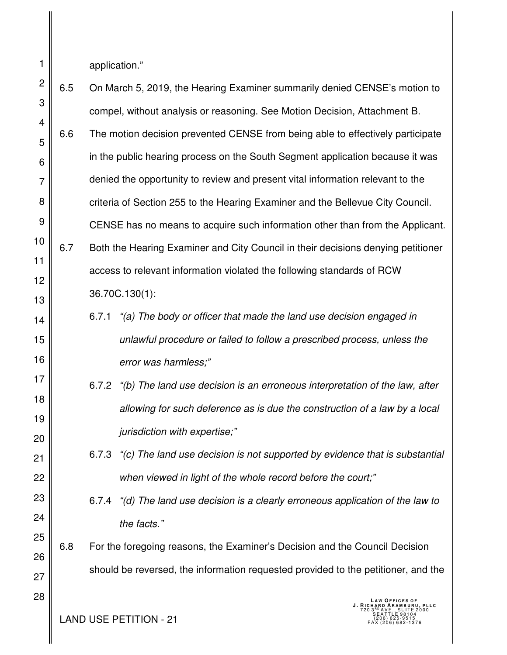application."

1

2 3 4 5 6 7 8 9 10 11 12 13 14 15 16 17 18 19 20 21 22 23 24 25 26 27 28 6.5 On March 5, 2019, the Hearing Examiner summarily denied CENSE's motion to compel, without analysis or reasoning. See Motion Decision, Attachment B. 6.6 The motion decision prevented CENSE from being able to effectively participate in the public hearing process on the South Segment application because it was denied the opportunity to review and present vital information relevant to the criteria of Section 255 to the Hearing Examiner and the Bellevue City Council. CENSE has no means to acquire such information other than from the Applicant. 6.7 Both the Hearing Examiner and City Council in their decisions denying petitioner access to relevant information violated the following standards of RCW 36.70C.130(1): 6.7.1 *"(a) The body or officer that made the land use decision engaged in unlawful procedure or failed to follow a prescribed process, unless the error was harmless;"* 6.7.2 *"(b) The land use decision is an erroneous interpretation of the law, after allowing for such deference as is due the construction of a law by a local jurisdiction with expertise;"* 6.7.3 *"(c) The land use decision is not supported by evidence that is substantial when viewed in light of the whole record before the court;"* 6.7.4 *"(d) The land use decision is a clearly erroneous application of the law to the facts."* 6.8 For the foregoing reasons, the Examiner's Decision and the Council Decision should be reversed, the information requested provided to the petitioner, and the **LAW OFFICES OF<br><b>J. RICHARD ARAMBURU, PLLC**<br>720 3<sup>RD</sup> AVE., SUITE 2000<br>SEATTLE 98104

**LAND USE PETITION - 21**